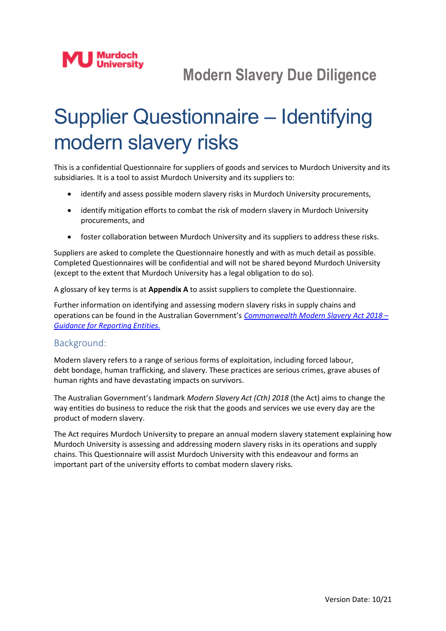# Supplier Questionnaire – Identifying modern slavery risks

This is a confidential Questionnaire for suppliers of goods and services to Murdoch University and its subsidiaries. It is a tool to assist Murdoch University and its suppliers to:

- identify and assess possible modern slavery risks in Murdoch University procurements,
- identify mitigation efforts to combat the risk of modern slavery in Murdoch University procurements, and
- foster collaboration between Murdoch University and its suppliers to address these risks.

Suppliers are asked to complete the Questionnaire honestly and with as much detail as possible. Completed Questionnaires will be confidential and will not be shared beyond Murdoch University (except to the extent that Murdoch University has a legal obligation to do so).

A glossary of key terms is at **Appendix A** to assist suppliers to complete the Questionnaire.

Further information on identifying and assessing modern slavery risks in supply chains and operations can be found in the Australian Government's *Commonwealth [Modern Slavery Act](https://www.homeaffairs.gov.au/criminal-justice/files/modern-slavery-reporting-entities.pdf) 2018 – [Guidance for Reporting Entities.](https://www.homeaffairs.gov.au/criminal-justice/files/modern-slavery-reporting-entities.pdf)*

#### Background:

Modern slavery refers to a range of serious forms of exploitation, including forced labour, debt bondage, human trafficking, and slavery. These practices are serious crimes, grave abuses of human rights and have devastating impacts on survivors.

The Australian Government's landmark *Modern Slavery Act (Cth) 2018* (the Act) aims to change the way entities do business to reduce the risk that the goods and services we use every day are the product of modern slavery.

The Act requires Murdoch University to prepare an annual modern slavery statement explaining how Murdoch University is assessing and addressing modern slavery risks in its operations and supply chains. This Questionnaire will assist Murdoch University with this endeavour and forms an important part of the university efforts to combat modern slavery risks.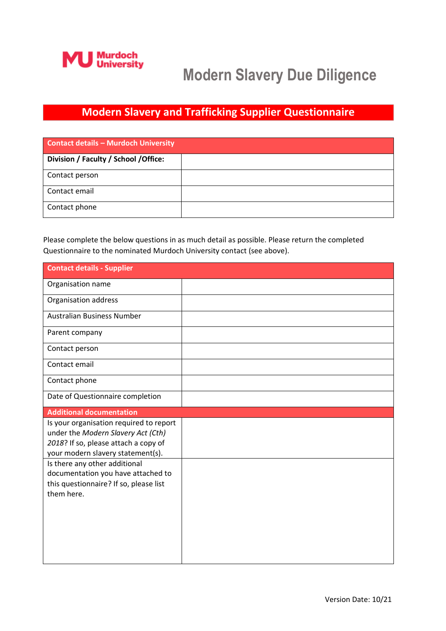

#### **Modern Slavery and Trafficking Supplier Questionnaire**

| <b>Contact details - Murdoch University</b> |  |  |
|---------------------------------------------|--|--|
| Division / Faculty / School / Office:       |  |  |
| Contact person                              |  |  |
| Contact email                               |  |  |
| Contact phone                               |  |  |

Please complete the below questions in as much detail as possible. Please return the completed Questionnaire to the nominated Murdoch University contact (see above).

| <b>Contact details - Supplier</b>                                                                                                                          |  |
|------------------------------------------------------------------------------------------------------------------------------------------------------------|--|
| Organisation name                                                                                                                                          |  |
| Organisation address                                                                                                                                       |  |
| <b>Australian Business Number</b>                                                                                                                          |  |
| Parent company                                                                                                                                             |  |
| Contact person                                                                                                                                             |  |
| Contact email                                                                                                                                              |  |
| Contact phone                                                                                                                                              |  |
| Date of Questionnaire completion                                                                                                                           |  |
| <b>Additional documentation</b>                                                                                                                            |  |
| Is your organisation required to report<br>under the Modern Slavery Act (Cth)<br>2018? If so, please attach a copy of<br>your modern slavery statement(s). |  |
| Is there any other additional<br>documentation you have attached to<br>this questionnaire? If so, please list<br>them here.                                |  |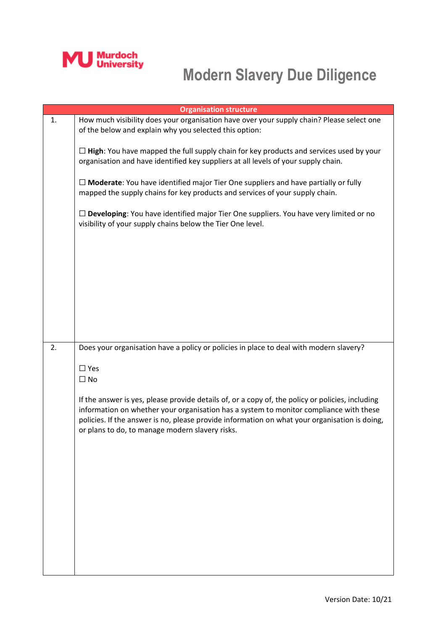

| <b>Organisation structure</b> |                                                                                                                                                                                                                                                                                                                                                |  |
|-------------------------------|------------------------------------------------------------------------------------------------------------------------------------------------------------------------------------------------------------------------------------------------------------------------------------------------------------------------------------------------|--|
| 1.                            | How much visibility does your organisation have over your supply chain? Please select one<br>of the below and explain why you selected this option:                                                                                                                                                                                            |  |
|                               | $\Box$ High: You have mapped the full supply chain for key products and services used by your<br>organisation and have identified key suppliers at all levels of your supply chain.                                                                                                                                                            |  |
|                               | $\Box$ Moderate: You have identified major Tier One suppliers and have partially or fully<br>mapped the supply chains for key products and services of your supply chain.                                                                                                                                                                      |  |
|                               | $\Box$ Developing: You have identified major Tier One suppliers. You have very limited or no<br>visibility of your supply chains below the Tier One level.                                                                                                                                                                                     |  |
|                               |                                                                                                                                                                                                                                                                                                                                                |  |
|                               |                                                                                                                                                                                                                                                                                                                                                |  |
|                               |                                                                                                                                                                                                                                                                                                                                                |  |
| 2.                            | Does your organisation have a policy or policies in place to deal with modern slavery?                                                                                                                                                                                                                                                         |  |
|                               | $\Box$ Yes                                                                                                                                                                                                                                                                                                                                     |  |
|                               | $\Box$ No                                                                                                                                                                                                                                                                                                                                      |  |
|                               | If the answer is yes, please provide details of, or a copy of, the policy or policies, including<br>information on whether your organisation has a system to monitor compliance with these<br>policies. If the answer is no, please provide information on what your organisation is doing,<br>or plans to do, to manage modern slavery risks. |  |
|                               |                                                                                                                                                                                                                                                                                                                                                |  |
|                               |                                                                                                                                                                                                                                                                                                                                                |  |
|                               |                                                                                                                                                                                                                                                                                                                                                |  |
|                               |                                                                                                                                                                                                                                                                                                                                                |  |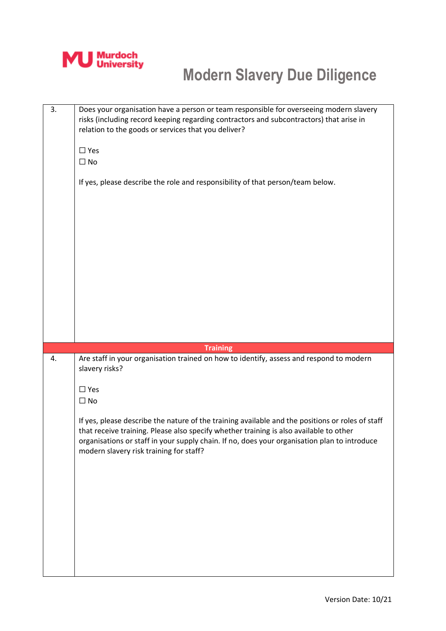

| 3. | Does your organisation have a person or team responsible for overseeing modern slavery<br>risks (including record keeping regarding contractors and subcontractors) that arise in<br>relation to the goods or services that you deliver?<br>$\square$ Yes<br>$\square$ No<br>If yes, please describe the role and responsibility of that person/team below. |
|----|-------------------------------------------------------------------------------------------------------------------------------------------------------------------------------------------------------------------------------------------------------------------------------------------------------------------------------------------------------------|
|    |                                                                                                                                                                                                                                                                                                                                                             |
| 4. | <b>Training</b><br>Are staff in your organisation trained on how to identify, assess and respond to modern<br>slavery risks?<br>$\square$ Yes<br>$\square$ No                                                                                                                                                                                               |
|    | If yes, please describe the nature of the training available and the positions or roles of staff<br>that receive training. Please also specify whether training is also available to other<br>organisations or staff in your supply chain. If no, does your organisation plan to introduce<br>modern slavery risk training for staff?                       |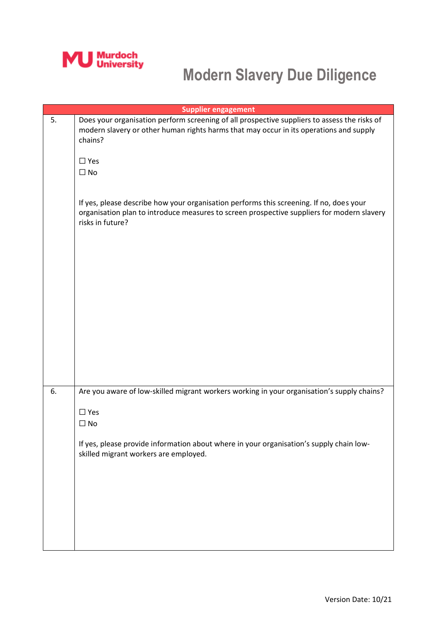

|    | <b>Supplier engagement</b>                                                                                                                                                                                                                                                                                                 |
|----|----------------------------------------------------------------------------------------------------------------------------------------------------------------------------------------------------------------------------------------------------------------------------------------------------------------------------|
| 5. | Does your organisation perform screening of all prospective suppliers to assess the risks of<br>modern slavery or other human rights harms that may occur in its operations and supply<br>chains?<br>$\Box$ Yes<br>$\square$ No<br>If yes, please describe how your organisation performs this screening. If no, does your |
|    | organisation plan to introduce measures to screen prospective suppliers for modern slavery<br>risks in future?                                                                                                                                                                                                             |
| 6. | Are you aware of low-skilled migrant workers working in your organisation's supply chains?<br>$\Box$ Yes<br>$\square$ No<br>If yes, please provide information about where in your organisation's supply chain low-<br>skilled migrant workers are employed.                                                               |
|    |                                                                                                                                                                                                                                                                                                                            |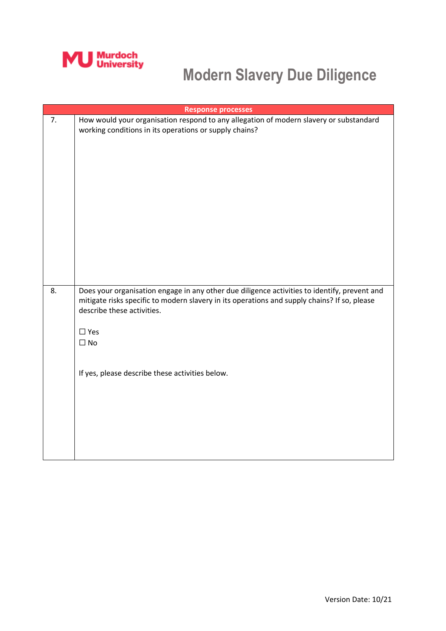

| <b>Response processes</b> |                                                                                                                                                                                                                                                                                                          |  |
|---------------------------|----------------------------------------------------------------------------------------------------------------------------------------------------------------------------------------------------------------------------------------------------------------------------------------------------------|--|
| 7.                        | How would your organisation respond to any allegation of modern slavery or substandard<br>working conditions in its operations or supply chains?                                                                                                                                                         |  |
| 8.                        | Does your organisation engage in any other due diligence activities to identify, prevent and<br>mitigate risks specific to modern slavery in its operations and supply chains? If so, please<br>describe these activities.<br>$\Box$ Yes<br>$\Box$ No<br>If yes, please describe these activities below. |  |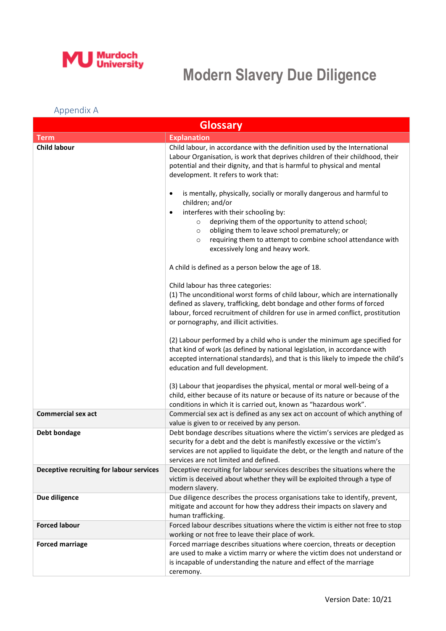

#### Appendix A

| <b>Glossary</b>                          |                                                                                                                                                                                                                                                                                                                                                                                        |
|------------------------------------------|----------------------------------------------------------------------------------------------------------------------------------------------------------------------------------------------------------------------------------------------------------------------------------------------------------------------------------------------------------------------------------------|
| <b>Term</b>                              | <b>Explanation</b>                                                                                                                                                                                                                                                                                                                                                                     |
| <b>Child labour</b>                      | Child labour, in accordance with the definition used by the International<br>Labour Organisation, is work that deprives children of their childhood, their<br>potential and their dignity, and that is harmful to physical and mental<br>development. It refers to work that:                                                                                                          |
|                                          | is mentally, physically, socially or morally dangerous and harmful to<br>٠<br>children; and/or<br>interferes with their schooling by:<br>٠<br>depriving them of the opportunity to attend school;<br>$\circ$<br>obliging them to leave school prematurely; or<br>$\circ$<br>requiring them to attempt to combine school attendance with<br>$\circ$<br>excessively long and heavy work. |
|                                          | A child is defined as a person below the age of 18.                                                                                                                                                                                                                                                                                                                                    |
|                                          | Child labour has three categories:<br>(1) The unconditional worst forms of child labour, which are internationally<br>defined as slavery, trafficking, debt bondage and other forms of forced<br>labour, forced recruitment of children for use in armed conflict, prostitution<br>or pornography, and illicit activities.                                                             |
|                                          | (2) Labour performed by a child who is under the minimum age specified for<br>that kind of work (as defined by national legislation, in accordance with<br>accepted international standards), and that is this likely to impede the child's<br>education and full development.                                                                                                         |
|                                          | (3) Labour that jeopardises the physical, mental or moral well-being of a<br>child, either because of its nature or because of its nature or because of the<br>conditions in which it is carried out, known as "hazardous work".                                                                                                                                                       |
| <b>Commercial sex act</b>                | Commercial sex act is defined as any sex act on account of which anything of<br>value is given to or received by any person.                                                                                                                                                                                                                                                           |
| Debt bondage                             | Debt bondage describes situations where the victim's services are pledged as<br>security for a debt and the debt is manifestly excessive or the victim's<br>services are not applied to liquidate the debt, or the length and nature of the<br>services are not limited and defined.                                                                                                   |
| Deceptive recruiting for labour services | Deceptive recruiting for labour services describes the situations where the<br>victim is deceived about whether they will be exploited through a type of<br>modern slavery.                                                                                                                                                                                                            |
| Due diligence                            | Due diligence describes the process organisations take to identify, prevent,<br>mitigate and account for how they address their impacts on slavery and<br>human trafficking.                                                                                                                                                                                                           |
| <b>Forced labour</b>                     | Forced labour describes situations where the victim is either not free to stop<br>working or not free to leave their place of work.                                                                                                                                                                                                                                                    |
| <b>Forced marriage</b>                   | Forced marriage describes situations where coercion, threats or deception<br>are used to make a victim marry or where the victim does not understand or<br>is incapable of understanding the nature and effect of the marriage<br>ceremony.                                                                                                                                            |